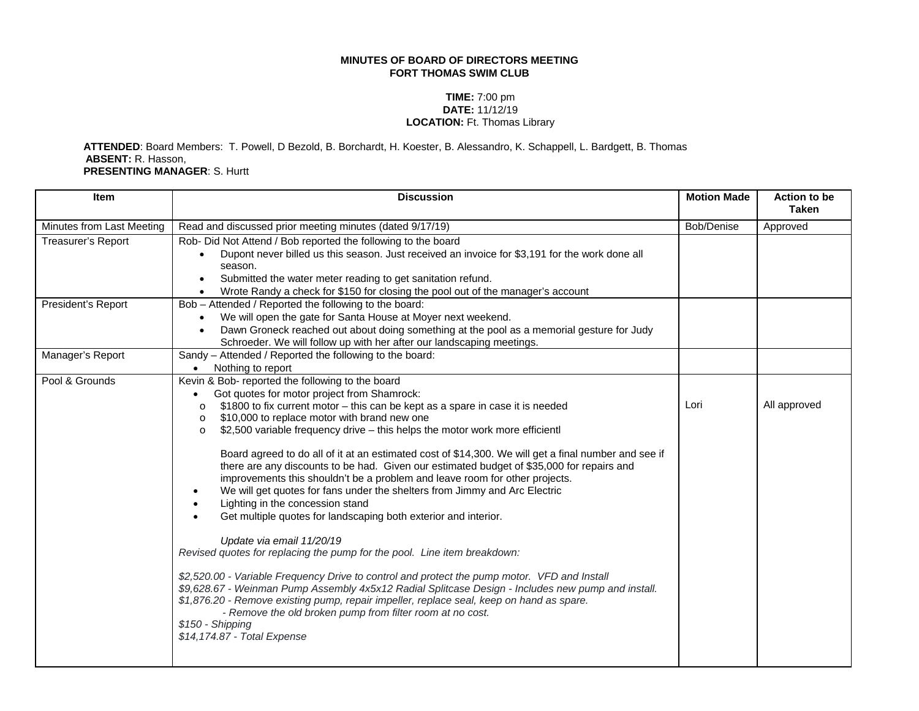## **MINUTES OF BOARD OF DIRECTORS MEETING FORT THOMAS SWIM CLUB**

## **TIME:** 7:00 pm **DATE:** 11/12/19 **LOCATION:** Ft. Thomas Library

 **ATTENDED**: Board Members: T. Powell, D Bezold, B. Borchardt, H. Koester, B. Alessandro, K. Schappell, L. Bardgett, B. Thomas **ABSENT:** R. Hasson, **PRESENTING MANAGER**: S. Hurtt

| Item                      | <b>Discussion</b>                                                                                                                                                                                                                                                                                                                                                                                                                                                                                                                                                                                                                                                                                                                                                                                                                                                                                                                                                                                                                                                                                                                                                                                                                                                                                                                                       | <b>Motion Made</b> | <b>Action to be</b><br><b>Taken</b> |
|---------------------------|---------------------------------------------------------------------------------------------------------------------------------------------------------------------------------------------------------------------------------------------------------------------------------------------------------------------------------------------------------------------------------------------------------------------------------------------------------------------------------------------------------------------------------------------------------------------------------------------------------------------------------------------------------------------------------------------------------------------------------------------------------------------------------------------------------------------------------------------------------------------------------------------------------------------------------------------------------------------------------------------------------------------------------------------------------------------------------------------------------------------------------------------------------------------------------------------------------------------------------------------------------------------------------------------------------------------------------------------------------|--------------------|-------------------------------------|
| Minutes from Last Meeting | Read and discussed prior meeting minutes (dated 9/17/19)                                                                                                                                                                                                                                                                                                                                                                                                                                                                                                                                                                                                                                                                                                                                                                                                                                                                                                                                                                                                                                                                                                                                                                                                                                                                                                | Bob/Denise         | Approved                            |
| Treasurer's Report        | Rob- Did Not Attend / Bob reported the following to the board<br>Dupont never billed us this season. Just received an invoice for \$3,191 for the work done all<br>$\bullet$<br>season.<br>Submitted the water meter reading to get sanitation refund.<br>$\bullet$<br>Wrote Randy a check for \$150 for closing the pool out of the manager's account<br>$\bullet$                                                                                                                                                                                                                                                                                                                                                                                                                                                                                                                                                                                                                                                                                                                                                                                                                                                                                                                                                                                     |                    |                                     |
| President's Report        | Bob - Attended / Reported the following to the board:<br>We will open the gate for Santa House at Moyer next weekend.<br>$\bullet$<br>Dawn Groneck reached out about doing something at the pool as a memorial gesture for Judy<br>$\bullet$<br>Schroeder. We will follow up with her after our landscaping meetings.                                                                                                                                                                                                                                                                                                                                                                                                                                                                                                                                                                                                                                                                                                                                                                                                                                                                                                                                                                                                                                   |                    |                                     |
| Manager's Report          | Sandy - Attended / Reported the following to the board:<br>Nothing to report<br>$\bullet$                                                                                                                                                                                                                                                                                                                                                                                                                                                                                                                                                                                                                                                                                                                                                                                                                                                                                                                                                                                                                                                                                                                                                                                                                                                               |                    |                                     |
| Pool & Grounds            | Kevin & Bob- reported the following to the board<br>Got quotes for motor project from Shamrock:<br>\$1800 to fix current motor - this can be kept as a spare in case it is needed<br>$\circ$<br>\$10,000 to replace motor with brand new one<br>$\circ$<br>\$2,500 variable frequency drive - this helps the motor work more efficientl<br>$\Omega$<br>Board agreed to do all of it at an estimated cost of \$14,300. We will get a final number and see if<br>there are any discounts to be had. Given our estimated budget of \$35,000 for repairs and<br>improvements this shouldn't be a problem and leave room for other projects.<br>We will get quotes for fans under the shelters from Jimmy and Arc Electric<br>Lighting in the concession stand<br>Get multiple quotes for landscaping both exterior and interior.<br>Update via email 11/20/19<br>Revised quotes for replacing the pump for the pool. Line item breakdown:<br>\$2,520.00 - Variable Frequency Drive to control and protect the pump motor. VFD and Install<br>\$9,628.67 - Weinman Pump Assembly 4x5x12 Radial Splitcase Design - Includes new pump and install.<br>\$1,876.20 - Remove existing pump, repair impeller, replace seal, keep on hand as spare.<br>- Remove the old broken pump from filter room at no cost.<br>\$150 - Shipping<br>\$14,174.87 - Total Expense | Lori               | All approved                        |